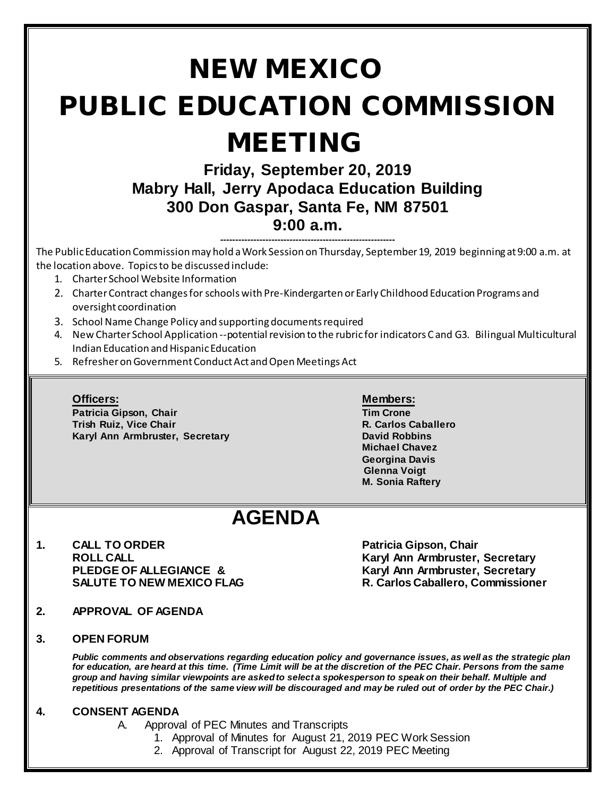# NEW MEXICO PUBLIC EDUCATION COMMISSION MEETING **Friday, September 20, 2019 Mabry Hall, Jerry Apodaca Education Building 300 Don Gaspar, Santa Fe, NM 87501 9:00 a.m. ----------------------------------------------------------** The Public Education Commission may hold a Work Session on Thursday, September 19, 2019 beginning at 9:00 a.m. at the location above. Topics to be discussed include: 1. Charter School Website Information 2. Charter Contract changes for schools with Pre-Kindergarten or Early Childhood Education Programs and oversight coordination 3. School Name Change Policy and supporting documents required 4. New Charter School Application --potential revision to the rubric for indicators C and G3. Bilingual Multicultural Indian Education and Hispanic Education 5. Refresher on Government Conduct Act and Open Meetings Act **Officers: Members: Patricia Gipson, Chair Tim Crone Trish Ruiz, Vice Chair R. Carlos Caballero**<br>R. Carlos Caballero<br>Raryl Ann Armbruster, Secretary R. Carlos Chavid Robbins **Karyl Ann Armbruster, Secretary Michael Chavez Georgina Davis Glenna Voigt M. Sonia Raftery AGENDA 1. CALL TO ORDER Patricia Gipson, Chair ROLL CALL Karyl Ann Armbruster, Secretary PLEDGE OF ALLEGIANCE & Karyl Ann Armbruster, Secretary SALUTE TO NEW MEXICO FLAG R. Carlos Caballero, Commissioner 2. APPROVAL OF AGENDA 3. OPEN FORUM**  *Public comments and observations regarding education policy and governance issues, as well as the strategic plan for education, are heard at this time. (Time Limit will be at the discretion of the PEC Chair. Persons from the same group and having similar viewpoints are asked to select a spokesperson to speak on their behalf. Multiple and repetitious presentations of the same view will be discouraged and may be ruled out of order by the PEC Chair.)*

#### **4. CONSENT AGENDA**

- A. Approval of PEC Minutes and Transcripts
	- 1. Approval of Minutes for August 21, 2019 PEC Work Session
	- 2. Approval of Transcript for August 22, 2019 PEC Meeting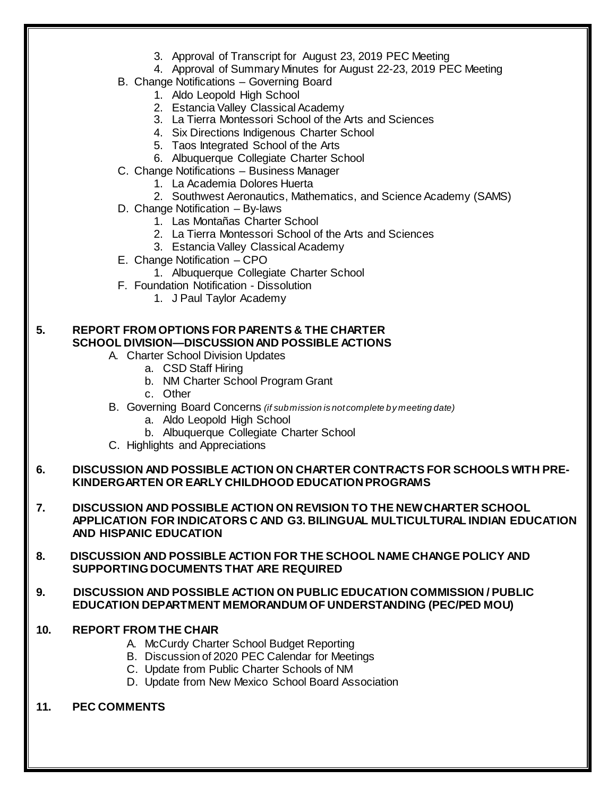- 3. Approval of Transcript for August 23, 2019 PEC Meeting
- 4. Approval of Summary Minutes for August 22-23, 2019 PEC Meeting
- B. Change Notifications Governing Board
	- 1. Aldo Leopold High School
	- 2. Estancia Valley Classical Academy
	- 3. La Tierra Montessori School of the Arts and Sciences
	- 4. Six Directions Indigenous Charter School
	- 5. Taos Integrated School of the Arts
	- 6. Albuquerque Collegiate Charter School
- C. Change Notifications Business Manager
	- 1. La Academia Dolores Huerta
	- 2. Southwest Aeronautics, Mathematics, and Science Academy (SAMS)
- D. Change Notification By-laws
	- 1. Las Montañas Charter School
	- 2. La Tierra Montessori School of the Arts and Sciences
	- 3. Estancia Valley Classical Academy
- E. Change Notification CPO
	- 1. Albuquerque Collegiate Charter School
- F. Foundation Notification Dissolution
	- 1. J Paul Taylor Academy

### **5. REPORT FROM OPTIONS FOR PARENTS & THE CHARTER SCHOOL DIVISION—DISCUSSION AND POSSIBLE ACTIONS**

- A. Charter School Division Updates
	- a. CSD Staff Hiring
	- b. NM Charter School Program Grant
	- c. Other
- B. Governing Board Concerns *(if submission is not complete by meeting date)*
	- a. Aldo Leopold High School
	- b. Albuquerque Collegiate Charter School
- C. Highlights and Appreciations

#### **6. DISCUSSION AND POSSIBLE ACTION ON CHARTER CONTRACTS FOR SCHOOLS WITH PRE-KINDERGARTEN OR EARLY CHILDHOOD EDUCATION PROGRAMS**

- **7. DISCUSSION AND POSSIBLE ACTION ON REVISION TO THE NEW CHARTER SCHOOL APPLICATION FOR INDICATORS C AND G3. BILINGUAL MULTICULTURAL INDIAN EDUCATION AND HISPANIC EDUCATION**
- **8. DISCUSSION AND POSSIBLE ACTION FOR THE SCHOOL NAME CHANGE POLICY AND SUPPORTING DOCUMENTS THAT ARE REQUIRED**
- **9. DISCUSSION AND POSSIBLE ACTION ON PUBLIC EDUCATION COMMISSION / PUBLIC EDUCATION DEPARTMENT MEMORANDUM OF UNDERSTANDING (PEC/PED MOU)**
- **10. REPORT FROM THE CHAIR**
	- A. McCurdy Charter School Budget Reporting
	- B. Discussion of 2020 PEC Calendar for Meetings
	- C. Update from Public Charter Schools of NM
	- D. Update from New Mexico School Board Association
- **11. PEC COMMENTS**